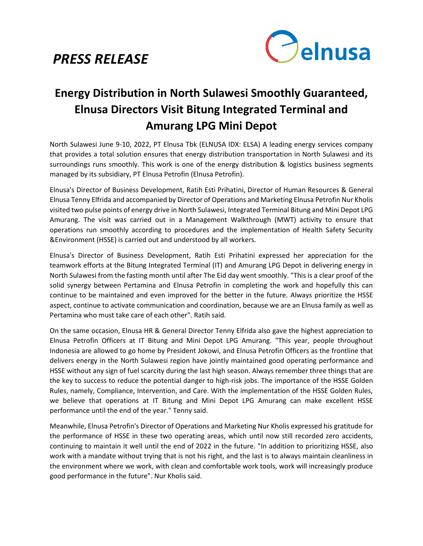## *PRESS RELEASE*



## **Energy Distribution in North Sulawesi Smoothly Guaranteed, Elnusa Directors Visit Bitung Integrated Terminal and Amurang LPG Mini Depot**

North Sulawesi June 9-10, 2022, PT Elnusa Tbk (ELNUSA IDX: ELSA) A leading energy services company that provides a total solution ensures that energy distribution transportation in North Sulawesi and its surroundings runs smoothly. This work is one of the energy distribution & logistics business segments managed by its subsidiary, PT Elnusa Petrofin (Elnusa Petrofin).

Elnusa's Director of Business Development, Ratih Esti Prihatini, Director of Human Resources & General Elnusa Tenny Elfrida and accompanied by Director of Operations and Marketing Elnusa Petrofin Nur Kholis visited two pulse points of energy drive in North Sulawesi, Integrated Terminal Bitung and Mini Depot LPG Amurang. The visit was carried out in a Management Walkthrough (MWT) activity to ensure that operations run smoothly according to procedures and the implementation of Health Safety Security &Environment (HSSE) is carried out and understood by all workers.

Elnusa's Director of Business Development, Ratih Esti Prihatini expressed her appreciation for the teamwork efforts at the Bitung Integrated Terminal (IT) and Amurang LPG Depot in delivering energy in North Sulawesi from the fasting month until after The Eid day went smoothly. "This is a clear proof of the solid synergy between Pertamina and Elnusa Petrofin in completing the work and hopefully this can continue to be maintained and even improved for the better in the future. Always prioritize the HSSE aspect, continue to activate communication and coordination, because we are an Elnusa family as well as Pertamina who must take care of each other". Ratih said.

On the same occasion, Elnusa HR & General Director Tenny Elfrida also gave the highest appreciation to Elnusa Petrofin Officers at IT Bitung and Mini Depot LPG Amurang. "This year, people throughout Indonesia are allowed to go home by President Jokowi, and Elnusa Petrofin Officers as the frontline that delivers energy in the North Sulawesi region have jointly maintained good operating performance and HSSE without any sign of fuel scarcity during the last high season. Always remember three things that are the key to success to reduce the potential danger to high-risk jobs. The importance of the HSSE Golden Rules, namely, Compliance, Intervention, and Care. With the implementation of the HSSE Golden Rules, we believe that operations at IT Bitung and Mini Depot LPG Amurang can make excellent HSSE performance until the end of the year." Tenny said.

Meanwhile, Elnusa Petrofin's Director of Operations and Marketing Nur Kholis expressed his gratitude for the performance of HSSE in these two operating areas, which until now still recorded zero accidents, continuing to maintain it well until the end of 2022 in the future. "In addition to prioritizing HSSE, also work with a mandate without trying that is not his right, and the last is to always maintain cleanliness in the environment where we work, with clean and comfortable work tools, work will increasingly produce good performance in the future". Nur Kholis said.